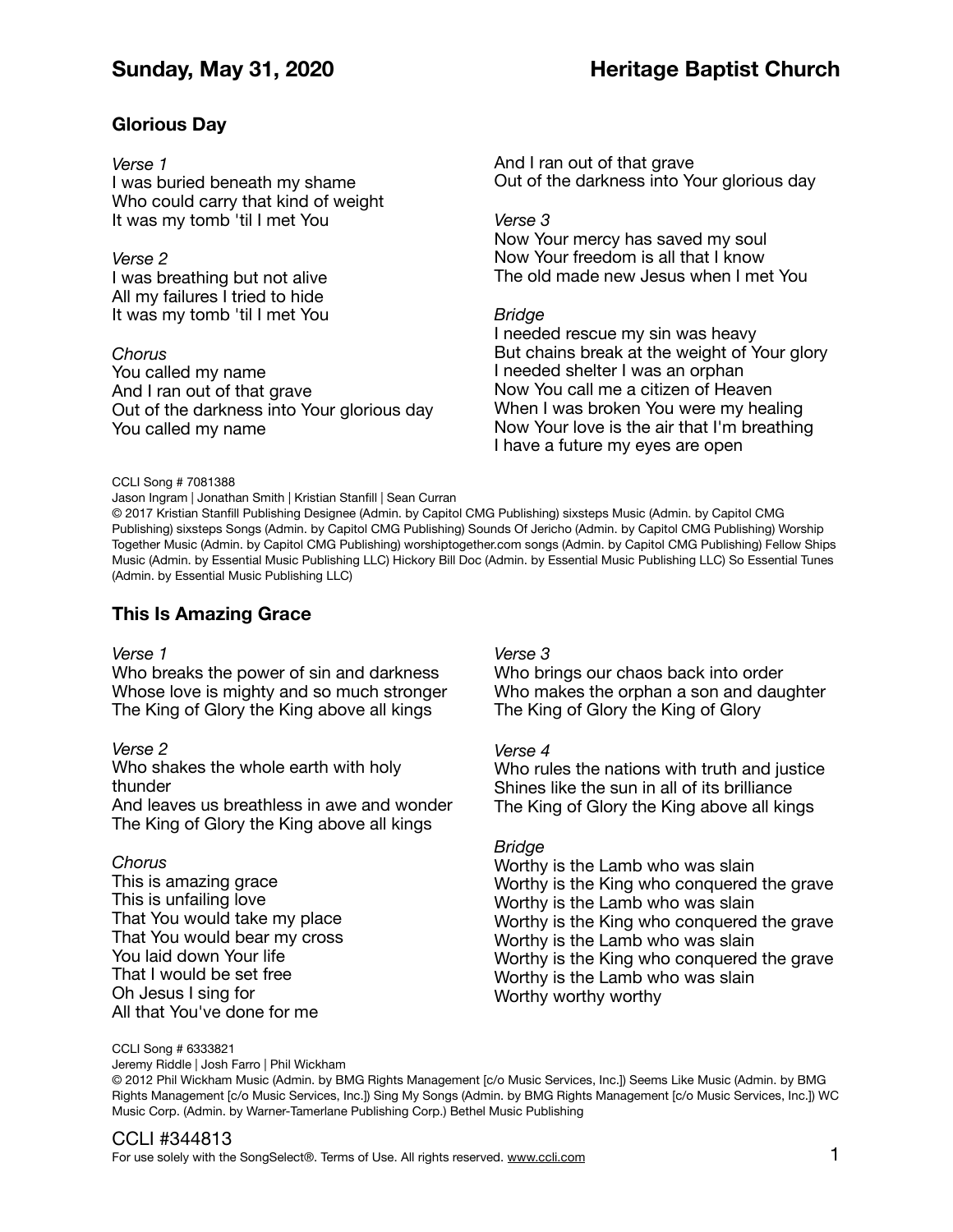# **Glorious Day**

### *Verse 1*

I was buried beneath my shame Who could carry that kind of weight It was my tomb 'til I met You

*Verse 2*  I was breathing but not alive All my failures I tried to hide It was my tomb 'til I met You

*Chorus*  You called my name And I ran out of that grave Out of the darkness into Your glorious day You called my name

And I ran out of that grave Out of the darkness into Your glorious day

*Verse 3* 

Now Your mercy has saved my soul Now Your freedom is all that I know The old made new Jesus when I met You

### *Bridge*

I needed rescue my sin was heavy But chains break at the weight of Your glory I needed shelter I was an orphan Now You call me a citizen of Heaven When I was broken You were my healing Now Your love is the air that I'm breathing I have a future my eyes are open

#### CCLI Song # 7081388

Jason Ingram | Jonathan Smith | Kristian Stanfill | Sean Curran

© 2017 Kristian Stanfill Publishing Designee (Admin. by Capitol CMG Publishing) sixsteps Music (Admin. by Capitol CMG Publishing) sixsteps Songs (Admin. by Capitol CMG Publishing) Sounds Of Jericho (Admin. by Capitol CMG Publishing) Worship Together Music (Admin. by Capitol CMG Publishing) worshiptogether.com songs (Admin. by Capitol CMG Publishing) Fellow Ships Music (Admin. by Essential Music Publishing LLC) Hickory Bill Doc (Admin. by Essential Music Publishing LLC) So Essential Tunes (Admin. by Essential Music Publishing LLC)

# **This Is Amazing Grace**

#### *Verse 1*

Who breaks the power of sin and darkness Whose love is mighty and so much stronger The King of Glory the King above all kings

#### *Verse 2*

Who shakes the whole earth with holy thunder

And leaves us breathless in awe and wonder The King of Glory the King above all kings

### *Chorus*

This is amazing grace This is unfailing love That You would take my place That You would bear my cross You laid down Your life That I would be set free Oh Jesus I sing for All that You've done for me

### *Verse 3*

Who brings our chaos back into order Who makes the orphan a son and daughter The King of Glory the King of Glory

### *Verse 4*

Who rules the nations with truth and justice Shines like the sun in all of its brilliance The King of Glory the King above all kings

### *Bridge*

Worthy is the Lamb who was slain Worthy is the King who conquered the grave Worthy is the Lamb who was slain Worthy is the King who conquered the grave Worthy is the Lamb who was slain Worthy is the King who conquered the grave Worthy is the Lamb who was slain Worthy worthy worthy

CCLI Song # 6333821

Jeremy Riddle | Josh Farro | Phil Wickham

© 2012 Phil Wickham Music (Admin. by BMG Rights Management [c/o Music Services, Inc.]) Seems Like Music (Admin. by BMG Rights Management [c/o Music Services, Inc.]) Sing My Songs (Admin. by BMG Rights Management [c/o Music Services, Inc.]) WC Music Corp. (Admin. by Warner-Tamerlane Publishing Corp.) Bethel Music Publishing

# CCLI #344813

For use solely with the SongSelect®. Terms of Use. All rights reserved. [www.ccli.com](http://www.ccli.com)